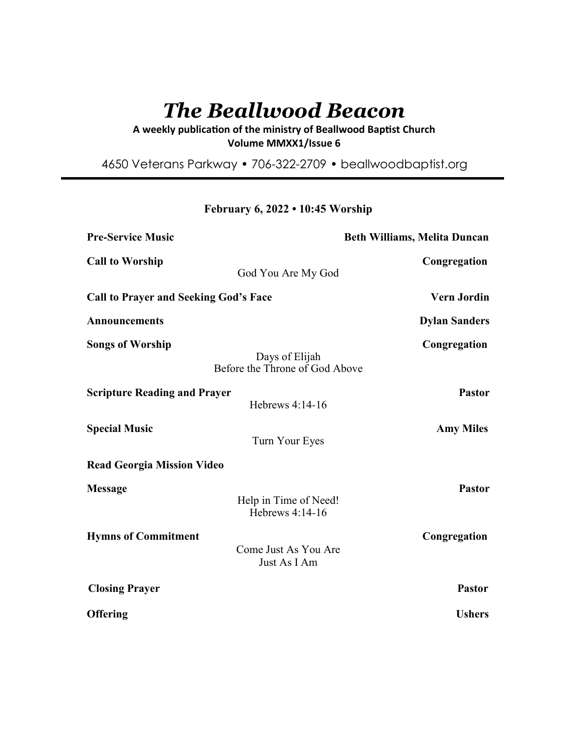# *The Beallwood Beacon*

A weekly publication of the ministry of Beallwood Baptist Church **Volume MMXX1/Issue 6** 

4650 Veterans Parkway • 706-322-2709 • beallwoodbaptist.org

# **February 6, 2022 • 10:45 Worship**

| <b>Pre-Service Music</b>                     | <b>Beth Williams, Melita Duncan</b>              |                      |
|----------------------------------------------|--------------------------------------------------|----------------------|
| <b>Call to Worship</b>                       | God You Are My God                               | Congregation         |
| <b>Call to Prayer and Seeking God's Face</b> |                                                  | <b>Vern Jordin</b>   |
| <b>Announcements</b>                         |                                                  | <b>Dylan Sanders</b> |
| <b>Songs of Worship</b>                      | Days of Elijah<br>Before the Throne of God Above | Congregation         |
| <b>Scripture Reading and Prayer</b>          | Hebrews 4:14-16                                  | <b>Pastor</b>        |
| <b>Special Music</b>                         | Turn Your Eyes                                   | <b>Amy Miles</b>     |
| <b>Read Georgia Mission Video</b>            |                                                  |                      |
| <b>Message</b>                               | Help in Time of Need!<br>Hebrews 4:14-16         | <b>Pastor</b>        |
| <b>Hymns of Commitment</b>                   | Come Just As You Are<br>Just As I Am             | Congregation         |
| <b>Closing Prayer</b>                        |                                                  | <b>Pastor</b>        |
| <b>Offering</b>                              |                                                  | <b>Ushers</b>        |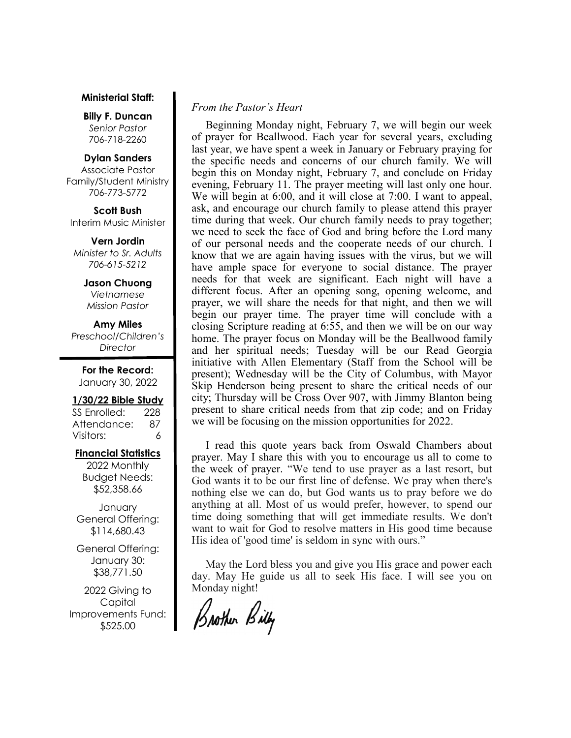#### **Ministerial Staff:**

**Billy F. Duncan** *Senior Pastor*  706-718-2260

#### **Dylan Sanders**

Associate Pastor Family/Student Ministry 706-773-5772

**Scott Bush**  Interim Music Minister

**Vern Jordin** *Minister to Sr. Adults 706-615-5212* 

> **Jason Chuong**  *Vietnamese Mission Pastor*

**Amy Miles** *Preschool/Children's Director* 

**For the Record:**  January 30, 2022

#### **1/30/22 Bible Study**

SS Enrolled: 228 Attendance: 87 Visitors: 6

# **Financial Statistics**

2022 Monthly Budget Needs: \$52,358.66

**January** General Offering: \$114,680.43

General Offering: January 30: \$38,771.50

2022 Giving to Capital Improvements Fund: \$525.00

# *From the Pastor's Heart*

 Beginning Monday night, February 7, we will begin our week of prayer for Beallwood. Each year for several years, excluding last year, we have spent a week in January or February praying for the specific needs and concerns of our church family. We will begin this on Monday night, February 7, and conclude on Friday evening, February 11. The prayer meeting will last only one hour. We will begin at 6:00, and it will close at 7:00. I want to appeal, ask, and encourage our church family to please attend this prayer time during that week. Our church family needs to pray together; we need to seek the face of God and bring before the Lord many of our personal needs and the cooperate needs of our church. I know that we are again having issues with the virus, but we will have ample space for everyone to social distance. The prayer needs for that week are significant. Each night will have a different focus. After an opening song, opening welcome, and prayer, we will share the needs for that night, and then we will begin our prayer time. The prayer time will conclude with a closing Scripture reading at 6:55, and then we will be on our way home. The prayer focus on Monday will be the Beallwood family and her spiritual needs; Tuesday will be our Read Georgia initiative with Allen Elementary (Staff from the School will be present); Wednesday will be the City of Columbus, with Mayor Skip Henderson being present to share the critical needs of our city; Thursday will be Cross Over 907, with Jimmy Blanton being present to share critical needs from that zip code; and on Friday we will be focusing on the mission opportunities for 2022.

 I read this quote years back from Oswald Chambers about prayer. May I share this with you to encourage us all to come to the week of prayer. "We tend to use prayer as a last resort, but God wants it to be our first line of defense. We pray when there's nothing else we can do, but God wants us to pray before we do anything at all. Most of us would prefer, however, to spend our time doing something that will get immediate results. We don't want to wait for God to resolve matters in His good time because His idea of 'good time' is seldom in sync with ours."

 May the Lord bless you and give you His grace and power each day. May He guide us all to seek His face. I will see you on Monday night!

Brother Billy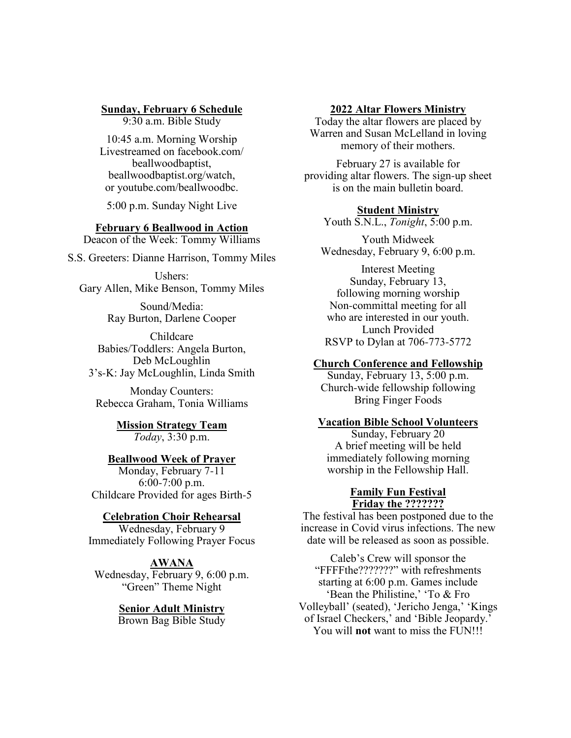#### **Sunday, February 6 Schedule**

9:30 a.m. Bible Study

10:45 a.m. Morning Worship Livestreamed on facebook.com/ beallwoodbaptist, beallwoodbaptist.org/watch, or youtube.com/beallwoodbc.

5:00 p.m. Sunday Night Live

## **February 6 Beallwood in Action**

Deacon of the Week: Tommy Williams

S.S. Greeters: Dianne Harrison, Tommy Miles

Ushers: Gary Allen, Mike Benson, Tommy Miles

> Sound/Media: Ray Burton, Darlene Cooper

Childcare Babies/Toddlers: Angela Burton, Deb McLoughlin 3's-K: Jay McLoughlin, Linda Smith

Monday Counters: Rebecca Graham, Tonia Williams

> **Mission Strategy Team** *Today*, 3:30 p.m.

# **Beallwood Week of Prayer**

Monday, February 7-11 6:00-7:00 p.m. Childcare Provided for ages Birth-5

#### **Celebration Choir Rehearsal**

Wednesday, February 9 Immediately Following Prayer Focus

#### **AWANA**

Wednesday, February 9, 6:00 p.m. "Green" Theme Night

#### **Senior Adult Ministry**

Brown Bag Bible Study

#### **2022 Altar Flowers Ministry**

Today the altar flowers are placed by Warren and Susan McLelland in loving memory of their mothers.

February 27 is available for providing altar flowers. The sign-up sheet is on the main bulletin board.

#### **Student Ministry**

Youth S.N.L., *Tonight*, 5:00 p.m.

Youth Midweek Wednesday, February 9, 6:00 p.m.

Interest Meeting Sunday, February 13, following morning worship Non-committal meeting for all who are interested in our youth. Lunch Provided RSVP to Dylan at 706-773-5772

#### **Church Conference and Fellowship**

Sunday, February 13, 5:00 p.m. Church-wide fellowship following Bring Finger Foods

# **Vacation Bible School Volunteers**

Sunday, February 20 A brief meeting will be held immediately following morning worship in the Fellowship Hall.

# **Family Fun Festival Friday the ???????**

The festival has been postponed due to the increase in Covid virus infections. The new date will be released as soon as possible.

Caleb's Crew will sponsor the "FFFFthe???????" with refreshments starting at 6:00 p.m. Games include 'Bean the Philistine,' 'To & Fro Volleyball' (seated), 'Jericho Jenga,' 'Kings of Israel Checkers,' and 'Bible Jeopardy.' You will **not** want to miss the FUN!!!